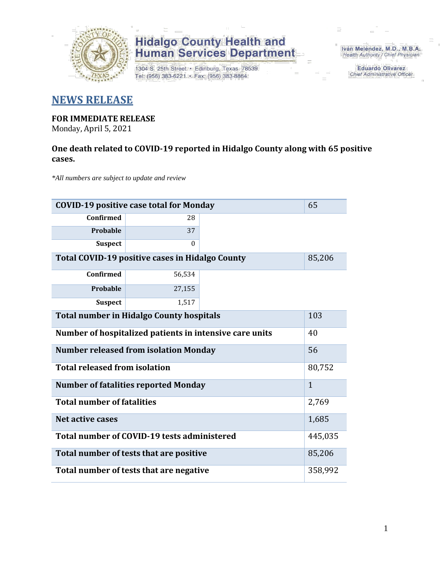

## **Hidalgo County Health and<br>Human Services Department**

1304 S. 25th Street · Edinburg, Texas 78539 Tel: (956) 383-6221 · Fax: (956) 383-8864

Iván Meléndez, M.D., M.B.A. Health Authority / Chief Physician

> **Eduardo Olivarez** Chief Administrative Officer

#### **NEWS RELEASE**

### **FOR IMMEDIATE RELEASE**

Monday, April 5, 2021

#### **One death related to COVID-19 reported in Hidalgo County along with 65 positive cases.**

*\*All numbers are subject to update and review*

| <b>COVID-19 positive case total for Monday</b><br>65    |          |  |  |  |  |
|---------------------------------------------------------|----------|--|--|--|--|
| <b>Confirmed</b>                                        | 28       |  |  |  |  |
| Probable                                                | 37       |  |  |  |  |
| <b>Suspect</b>                                          | $\Omega$ |  |  |  |  |
| Total COVID-19 positive cases in Hidalgo County         |          |  |  |  |  |
| <b>Confirmed</b>                                        | 56,534   |  |  |  |  |
| Probable                                                | 27,155   |  |  |  |  |
| <b>Suspect</b>                                          | 1,517    |  |  |  |  |
| <b>Total number in Hidalgo County hospitals</b>         |          |  |  |  |  |
| Number of hospitalized patients in intensive care units |          |  |  |  |  |
| <b>Number released from isolation Monday</b>            |          |  |  |  |  |
| <b>Total released from isolation</b>                    |          |  |  |  |  |
| <b>Number of fatalities reported Monday</b>             |          |  |  |  |  |
| <b>Total number of fatalities</b>                       |          |  |  |  |  |
| Net active cases                                        |          |  |  |  |  |
| Total number of COVID-19 tests administered             |          |  |  |  |  |
| Total number of tests that are positive                 |          |  |  |  |  |
| Total number of tests that are negative                 |          |  |  |  |  |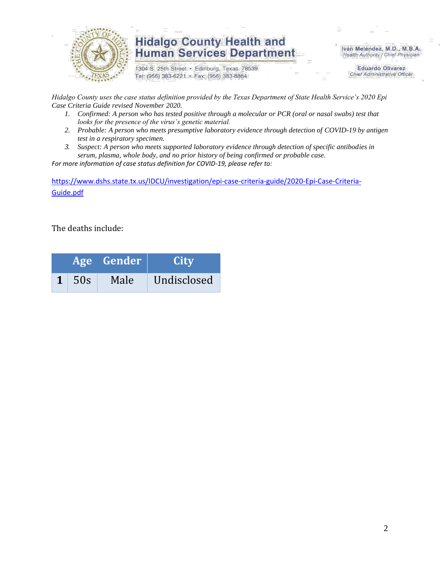

### **Hidalgo County Health and Human Services Department**

1304 S. 25th Street · Edinburg, Texas 78539 Tel: (956) 383-6221 · Fax: (956) 383-8864

Iván Meléndez, M.D., M.B.A. Health Authority / Chief Physician

> **Eduardo Olivarez Chief Administrative Officer**

*Hidalgo County uses the case status definition provided by the Texas Department of State Health Service's 2020 Epi Case Criteria Guide revised November 2020.*

- *1. Confirmed: A person who has tested positive through a molecular or PCR (oral or nasal swabs) test that looks for the presence of the virus's genetic material.*
- *2. Probable: A person who meets presumptive laboratory evidence through detection of COVID-19 by antigen test in a respiratory specimen.*
- *3. Suspect: A person who meets supported laboratory evidence through detection of specific antibodies in serum, plasma, whole body, and no prior history of being confirmed or probable case.*

*For more information of case status definition for COVID-19, please refer to:*

[https://www.dshs.state.tx.us/IDCU/investigation/epi-case-criteria-guide/2020-Epi-Case-Criteria-](https://www.dshs.state.tx.us/IDCU/investigation/epi-case-criteria-guide/2020-Epi-Case-Criteria-Guide.pdf)[Guide.pdf](https://www.dshs.state.tx.us/IDCU/investigation/epi-case-criteria-guide/2020-Epi-Case-Criteria-Guide.pdf)

The deaths include:

|  |                                    | Age Gender | <b>City</b> |  |  |
|--|------------------------------------|------------|-------------|--|--|
|  | $1 \overline{\smash{\big)}\,}$ 50s | Male       | Undisclosed |  |  |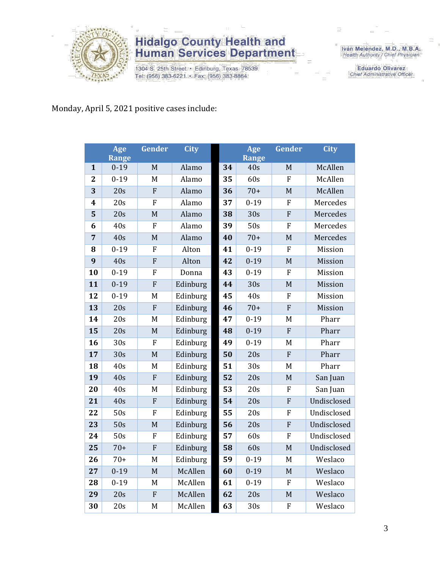

## **Hidalgo County Health and<br>Human Services Department**

1304 S. 25th Street · Edinburg, Texas 78539 Tel: (956) 383-6221 · Fax: (956) 383-8864

Iván Meléndez, M.D., M.B.A.<br>Health Authority / Chief Physician

**Eduardo Olivarez** Chief Administrative Officer

#### Monday, April 5, 2021 positive cases include:

|                         | Age      | Gender         | City     |                 | Age              | Gender         | <b>City</b> |
|-------------------------|----------|----------------|----------|-----------------|------------------|----------------|-------------|
|                         | Range    |                |          |                 | Range            |                |             |
| $\mathbf{1}$            | $0-19$   | M              | Alamo    | 34              | 40s              | M              | McAllen     |
| $\overline{2}$          | $0-19$   | M              | Alamo    | 35              | 60s              | $\overline{F}$ | McAllen     |
| 3                       | 20s      | F              | Alamo    | 36              | $70+$            | M              | McAllen     |
| $\overline{\mathbf{4}}$ | 20s      | $\overline{F}$ | Alamo    | 37              | $0 - 19$         | F              | Mercedes    |
| 5                       | 20s      | $\overline{M}$ | Alamo    | 38              | 30s              | F              | Mercedes    |
| 6                       | 40s      | $\overline{F}$ | Alamo    | 39              | 50s              | ${\bf F}$      | Mercedes    |
| 7                       | 40s      | M              | Alamo    | 40              | $70+$            | M              | Mercedes    |
| 8                       | $0 - 19$ | $\overline{F}$ | Alton    | 41              | $0 - 19$         | ${\bf F}$      | Mission     |
| 9                       | 40s      | F              | Alton    | 42              | $0 - 19$         | M              | Mission     |
| 10                      | $0 - 19$ | ${\bf F}$      | Donna    | 43              | $0 - 19$         | ${\bf F}$      | Mission     |
| 11                      | $0 - 19$ | $\overline{F}$ | Edinburg | 44              | 30s              | M              | Mission     |
| 12                      | $0 - 19$ | M              | Edinburg | 45              | 40s              | ${\bf F}$      | Mission     |
| 13                      | 20s      | F              | Edinburg | 46              | $70+$            | F              | Mission     |
| 14                      | 20s      | M              | Edinburg | 47              | $0 - 19$         | M              | Pharr       |
| 15                      | 20s      | M              | Edinburg | 48              | $0 - 19$         | F              | Pharr       |
| 16                      | 30s      | $\overline{F}$ | Edinburg | 49              | $0 - 19$         | M              | Pharr       |
| 17                      | 30s      | M              | Edinburg | 50              | 20s              | F              | Pharr       |
| 18                      | 40s      | M              | Edinburg | 51              | 30s              | M              | Pharr       |
| 19                      | 40s      | $\overline{F}$ | Edinburg | $\overline{52}$ | $\overline{20s}$ | $\mathbf M$    | San Juan    |
| 20                      | 40s      | M              | Edinburg | 53              | 20s              | F              | San Juan    |
| 21                      | 40s      | $\overline{F}$ | Edinburg | 54              | 20s              | F              | Undisclosed |
| 22                      | 50s      | $\overline{F}$ | Edinburg | 55              | 20s              | ${\bf F}$      | Undisclosed |
| 23                      | 50s      | M              | Edinburg | 56              | 20s              | F              | Undisclosed |
| 24                      | 50s      | F              | Edinburg | 57              | 60s              | ${\bf F}$      | Undisclosed |
| 25                      | $70+$    | $\overline{F}$ | Edinburg | 58              | 60s              | M              | Undisclosed |
| 26                      | $70+$    | M              | Edinburg | 59              | $0 - 19$         | M              | Weslaco     |
| 27                      | $0 - 19$ | M              | McAllen  | 60              | $0 - 19$         | M              | Weslaco     |
| 28                      | $0 - 19$ | M              | McAllen  | 61              | $0 - 19$         | F              | Weslaco     |
| 29                      | 20s      | ${\bf F}$      | McAllen  | 62              | 20s              | M              | Weslaco     |
| 30                      | 20s      | M              | McAllen  | 63              | 30s              | ${\bf F}$      | Weslaco     |